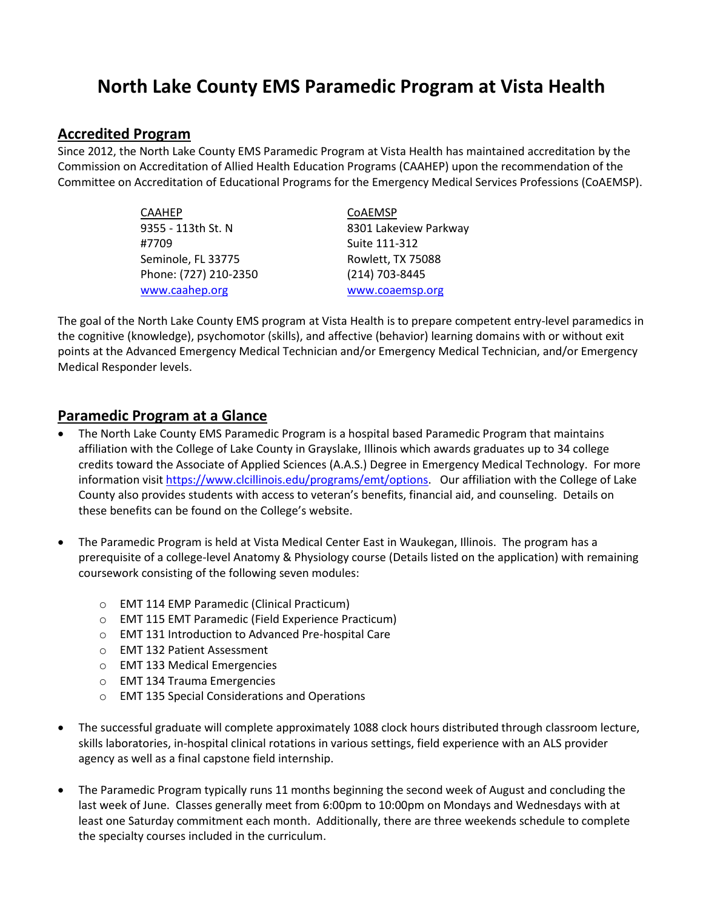# **North Lake County EMS Paramedic Program at Vista Health**

#### **Accredited Program**

Since 2012, the North Lake County EMS Paramedic Program at Vista Health has maintained accreditation by the Commission on Accreditation of Allied Health Education Programs (CAAHEP) upon the recommendation of the Committee on Accreditation of Educational Programs for the Emergency Medical Services Professions (CoAEMSP).

| CAAHEP                | COAEMSP               |  |
|-----------------------|-----------------------|--|
| 9355 - 113th St. N    | 8301 Lakeview Parkway |  |
| #7709                 | Suite 111-312         |  |
| Seminole, FL 33775    | Rowlett, TX 75088     |  |
| Phone: (727) 210-2350 | (214) 703-8445        |  |
| www.caahep.org        | www.coaemsp.org       |  |

The goal of the North Lake County EMS program at Vista Health is to prepare competent entry-level paramedics in the cognitive (knowledge), psychomotor (skills), and affective (behavior) learning domains with or without exit points at the Advanced Emergency Medical Technician and/or Emergency Medical Technician, and/or Emergency Medical Responder levels.

#### **Paramedic Program at a Glance**

- The North Lake County EMS Paramedic Program is a hospital based Paramedic Program that maintains affiliation with the College of Lake County in Grayslake, Illinois which awards graduates up to 34 college credits toward the Associate of Applied Sciences (A.A.S.) Degree in Emergency Medical Technology. For more information visi[t https://www.clcillinois.edu/programs/emt/options.](https://www.clcillinois.edu/programs/emt/options) Our affiliation with the College of Lake County also provides students with access to veteran's benefits, financial aid, and counseling. Details on these benefits can be found on the College's website.
- The Paramedic Program is held at Vista Medical Center East in Waukegan, Illinois. The program has a prerequisite of a college-level Anatomy & Physiology course (Details listed on the application) with remaining coursework consisting of the following seven modules:
	- o EMT 114 EMP Paramedic (Clinical Practicum)
	- o EMT 115 EMT Paramedic (Field Experience Practicum)
	- o EMT 131 Introduction to Advanced Pre-hospital Care
	- o EMT 132 Patient Assessment
	- o EMT 133 Medical Emergencies
	- o EMT 134 Trauma Emergencies
	- o EMT 135 Special Considerations and Operations
- The successful graduate will complete approximately 1088 clock hours distributed through classroom lecture, skills laboratories, in-hospital clinical rotations in various settings, field experience with an ALS provider agency as well as a final capstone field internship.
- The Paramedic Program typically runs 11 months beginning the second week of August and concluding the last week of June. Classes generally meet from 6:00pm to 10:00pm on Mondays and Wednesdays with at least one Saturday commitment each month. Additionally, there are three weekends schedule to complete the specialty courses included in the curriculum.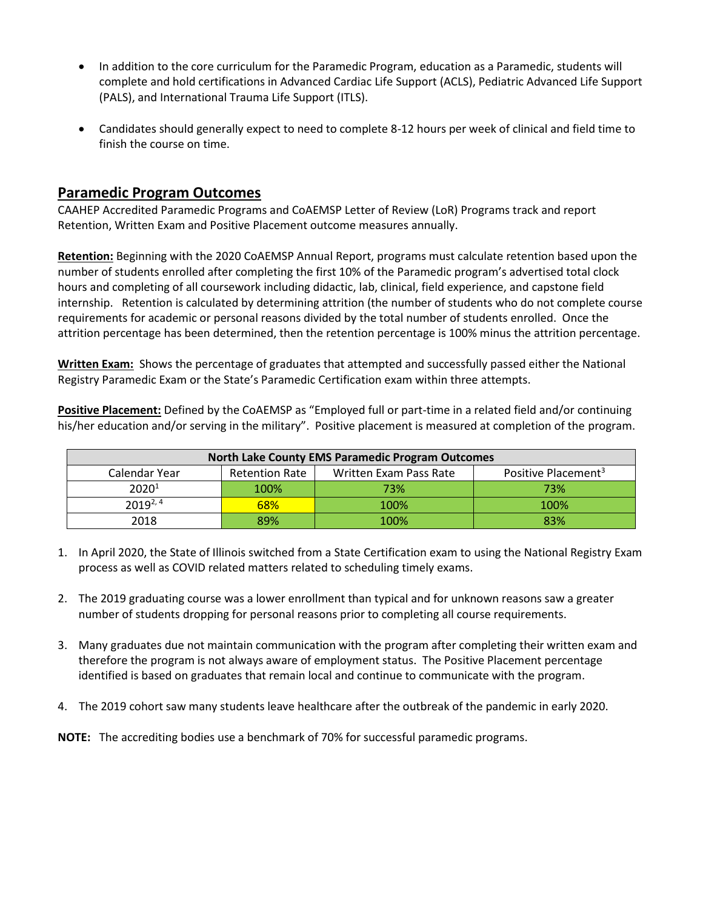- In addition to the core curriculum for the Paramedic Program, education as a Paramedic, students will complete and hold certifications in Advanced Cardiac Life Support (ACLS), Pediatric Advanced Life Support (PALS), and International Trauma Life Support (ITLS).
- Candidates should generally expect to need to complete 8-12 hours per week of clinical and field time to finish the course on time.

### **Paramedic Program Outcomes**

CAAHEP Accredited Paramedic Programs and CoAEMSP Letter of Review (LoR) Programs track and report Retention, Written Exam and Positive Placement outcome measures annually.

**Retention:** Beginning with the 2020 CoAEMSP Annual Report, programs must calculate retention based upon the number of students enrolled after completing the first 10% of the Paramedic program's advertised total clock hours and completing of all coursework including didactic, lab, clinical, field experience, and capstone field internship. Retention is calculated by determining attrition (the number of students who do not complete course requirements for academic or personal reasons divided by the total number of students enrolled. Once the attrition percentage has been determined, then the retention percentage is 100% minus the attrition percentage.

**Written Exam:** Shows the percentage of graduates that attempted and successfully passed either the National Registry Paramedic Exam or the State's Paramedic Certification exam within three attempts.

**Positive Placement:** Defined by the CoAEMSP as "Employed full or part-time in a related field and/or continuing his/her education and/or serving in the military". Positive placement is measured at completion of the program.

| <b>North Lake County EMS Paramedic Program Outcomes</b> |                       |                        |                                 |
|---------------------------------------------------------|-----------------------|------------------------|---------------------------------|
| Calendar Year                                           | <b>Retention Rate</b> | Written Exam Pass Rate | Positive Placement <sup>3</sup> |
| 2020 <sup>1</sup>                                       | 100%                  | 73%                    | 73%                             |
| $2019^{2,4}$                                            | 68%                   | 100%                   | 100%                            |
| 2018                                                    | 89%                   | 100%                   | 83%                             |

- 1. In April 2020, the State of Illinois switched from a State Certification exam to using the National Registry Exam process as well as COVID related matters related to scheduling timely exams.
- 2. The 2019 graduating course was a lower enrollment than typical and for unknown reasons saw a greater number of students dropping for personal reasons prior to completing all course requirements.
- 3. Many graduates due not maintain communication with the program after completing their written exam and therefore the program is not always aware of employment status. The Positive Placement percentage identified is based on graduates that remain local and continue to communicate with the program.
- 4. The 2019 cohort saw many students leave healthcare after the outbreak of the pandemic in early 2020.
- **NOTE:** The accrediting bodies use a benchmark of 70% for successful paramedic programs.